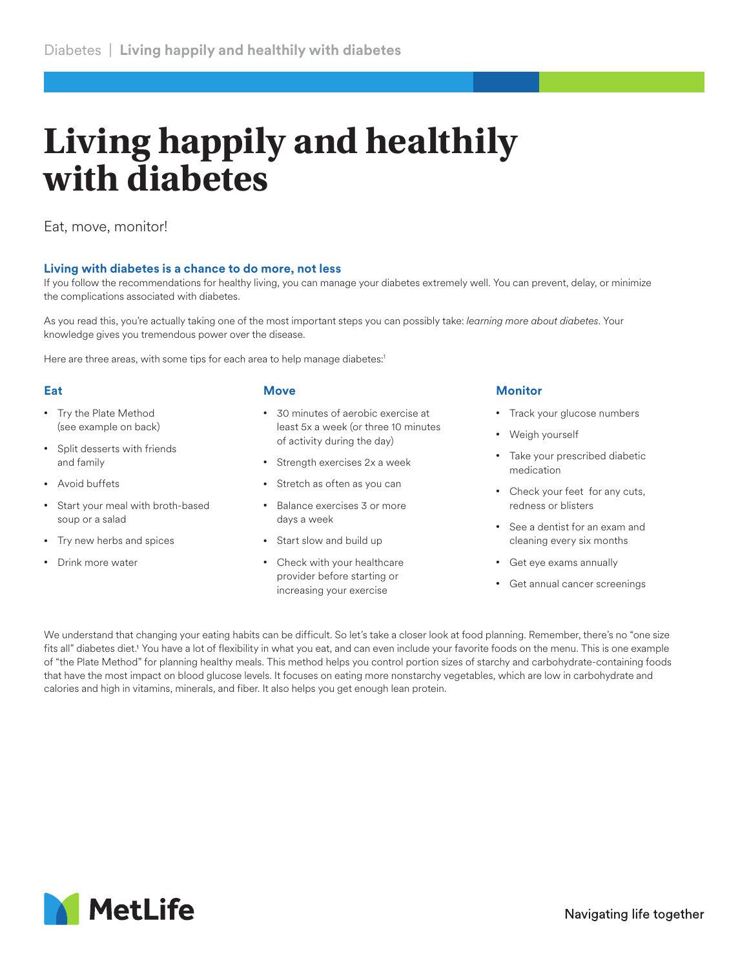# **Living happily and healthily with diabetes**

Eat, move, monitor!

## **Living with diabetes is a chance to do more, not less**

If you follow the recommendations for healthy living, you can manage your diabetes extremely well. You can prevent, delay, or minimize the complications associated with diabetes.

As you read this, you're actually taking one of the most important steps you can possibly take: *learning more about diabetes*. Your knowledge gives you tremendous power over the disease.

Here are three areas, with some tips for each area to help manage diabetes:<sup>1</sup>

## **Eat**

- Try the Plate Method (see example on back)
- Split desserts with friends and family
- Avoid buffets
- Start your meal with broth-based soup or a salad
- Try new herbs and spices
- Drink more water

#### **Move**

- 30 minutes of aerobic exercise at least 5x a week (or three 10 minutes of activity during the day)
- Strength exercises 2x a week
- Stretch as often as you can
- Balance exercises 3 or more days a week
- Start slow and build up
- Check with your healthcare provider before starting or increasing your exercise

## **Monitor**

- Track your glucose numbers
- Weigh yourself
- Take your prescribed diabetic medication
- Check your feet for any cuts, redness or blisters
- See a dentist for an exam and cleaning every six months
- Get eye exams annually
- Get annual cancer screenings

We understand that changing your eating habits can be difficult. So let's take a closer look at food planning. Remember, there's no "one size fits all" diabetes diet.<sup>1</sup> You have a lot of flexibility in what you eat, and can even include your favorite foods on the menu. This is one example of "the Plate Method" for planning healthy meals. This method helps you control portion sizes of starchy and carbohydrate-containing foods that have the most impact on blood glucose levels. It focuses on eating more nonstarchy vegetables, which are low in carbohydrate and calories and high in vitamins, minerals, and fiber. It also helps you get enough lean protein.